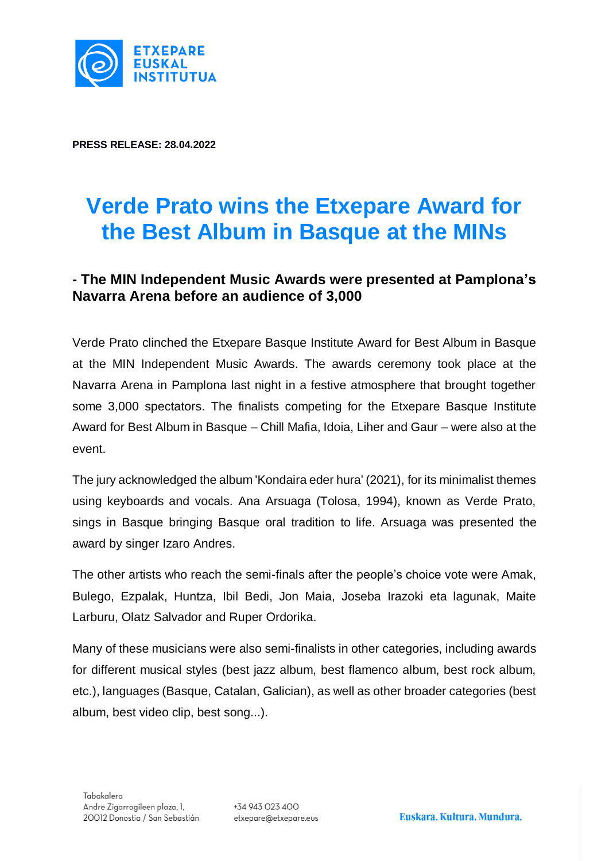

**PRESS RELEASE: 28.04.2022**

# **Verde Prato wins the Etxepare Award for the Best Album in Basque at the MINs**

# **- The MIN Independent Music Awards were presented at Pamplona's Navarra Arena before an audience of 3,000**

Verde Prato clinched the Etxepare Basque Institute Award for Best Album in Basque at the MIN Independent Music Awards. The awards ceremony took place at the Navarra Arena in Pamplona last night in a festive atmosphere that brought together some 3,000 spectators. The finalists competing for the Etxepare Basque Institute Award for Best Album in Basque – Chill Mafia, Idoia, Liher and Gaur – were also at the event.

The jury acknowledged the album 'Kondaira eder hura' (2021), for its minimalist themes using keyboards and vocals. Ana Arsuaga (Tolosa, 1994), known as Verde Prato, sings in Basque bringing Basque oral tradition to life. Arsuaga was presented the award by singer Izaro Andres.

The other artists who reach the semi-finals after the people's choice vote were Amak, Bulego, Ezpalak, Huntza, Ibil Bedi, Jon Maia, Joseba Irazoki eta lagunak, Maite Larburu, Olatz Salvador and Ruper Ordorika.

Many of these musicians were also semi-finalists in other categories, including awards for different musical styles (best jazz album, best flamenco album, best rock album, etc.), languages (Basque, Catalan, Galician), as well as other broader categories (best album, best video clip, best song...).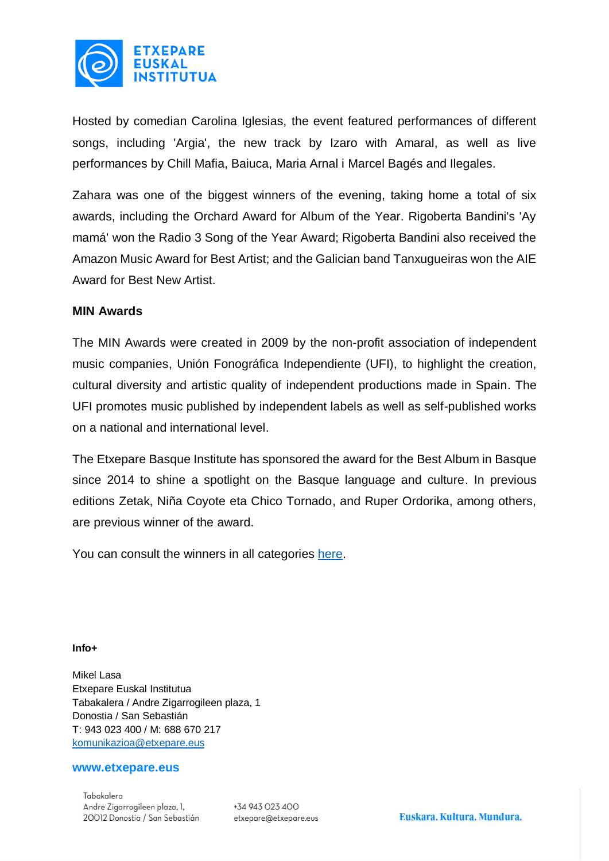

Hosted by comedian Carolina Iglesias, the event featured performances of different songs, including 'Argia', the new track by Izaro with Amaral, as well as live performances by Chill Mafia, Baiuca, Maria Arnal i Marcel Bagés and Ilegales.

Zahara was one of the biggest winners of the evening, taking home a total of six awards, including the Orchard Award for Album of the Year. Rigoberta Bandini's 'Ay mamá' won the Radio 3 Song of the Year Award; Rigoberta Bandini also received the Amazon Music Award for Best Artist; and the Galician band Tanxugueiras won the AIE Award for Best New Artist.

## **MIN Awards**

The MIN Awards were created in 2009 by the non-profit association of independent music companies, Unión Fonográfica Independiente (UFI), to highlight the creation, cultural diversity and artistic quality of independent productions made in Spain. The UFI promotes music published by independent labels as well as self-published works on a national and international level.

The Etxepare Basque Institute has sponsored the award for the Best Album in Basque since 2014 to shine a spotlight on the Basque language and culture. In previous editions Zetak, Niña Coyote eta Chico Tornado, and Ruper Ordorika, among others, are previous winner of the award.

You can consult the winners in all categories [here.](https://www.premiosmin.com/ganadores)

### **Info+**

Mikel Lasa Etxepare Euskal Institutua Tabakalera / Andre Zigarrogileen plaza, 1 Donostia / San Sebastián T: 943 023 400 / M: 688 670 217 [komunikazioa@etxepare.eus](mailto:komunikazioa@etxepare.eus)

### **www.etxepare.eus**

Tabakalera Andre Zigarrogileen plaza, 1, 20012 Donostia / San Sebastián